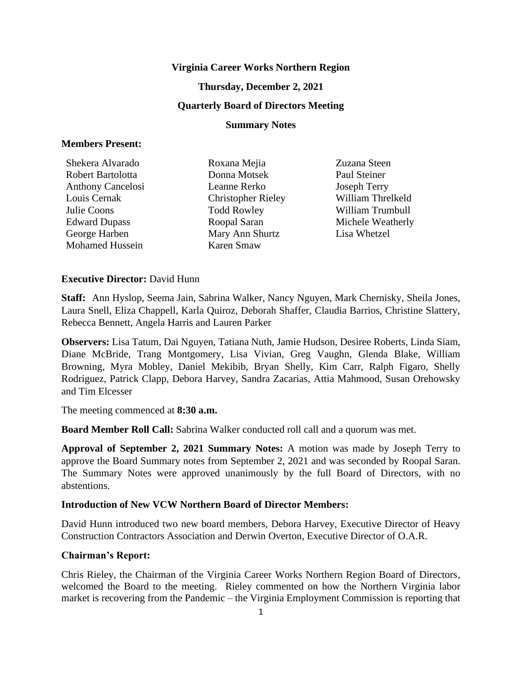#### **Virginia Career Works Northern Region**

#### **Thursday, December 2, 2021**

#### **Quarterly Board of Directors Meeting**

#### **Summary Notes**

#### **Members Present:**

| Shekera Alvarado         | Roxana Mejia              | Zuzai |
|--------------------------|---------------------------|-------|
| Robert Bartolotta        | Donna Motsek              | Paul  |
| <b>Anthony Cancelosi</b> | Leanne Rerko              | Josep |
| Louis Cernak             | <b>Christopher Rieley</b> | Willi |
| Julie Coons              | <b>Todd Rowley</b>        | Willi |
| <b>Edward Dupass</b>     | Roopal Saran              | Mich  |
| George Harben            | Mary Ann Shurtz           | Lisa  |
| <b>Mohamed Hussein</b>   | Karen Smaw                |       |

na Steen **Steiner** h Terry am Threlkeld am Trumbull ele Weatherly Whetzel

#### **Executive Director:** David Hunn

**Staff:** Ann Hyslop, Seema Jain, Sabrina Walker, Nancy Nguyen, Mark Chernisky, Sheila Jones, Laura Snell, Eliza Chappell, Karla Quiroz, Deborah Shaffer, Claudia Barrios, Christine Slattery, Rebecca Bennett, Angela Harris and Lauren Parker

**Observers:** Lisa Tatum, Dai Nguyen, Tatiana Nuth, Jamie Hudson, Desiree Roberts, Linda Siam, Diane McBride, Trang Montgomery, Lisa Vivian, Greg Vaughn, Glenda Blake, William Browning, Myra Mobley, Daniel Mekibib, Bryan Shelly, Kim Carr, Ralph Figaro, Shelly Rodriguez, Patrick Clapp, Debora Harvey, Sandra Zacarias, Attia Mahmood, Susan Orehowsky and Tim Elcesser

The meeting commenced at **8:30 a.m.**

**Board Member Roll Call:** Sabrina Walker conducted roll call and a quorum was met.

**Approval of September 2, 2021 Summary Notes:** A motion was made by Joseph Terry to approve the Board Summary notes from September 2, 2021 and was seconded by Roopal Saran. The Summary Notes were approved unanimously by the full Board of Directors, with no abstentions.

#### **Introduction of New VCW Northern Board of Director Members:**

David Hunn introduced two new board members, Debora Harvey, Executive Director of Heavy Construction Contractors Association and Derwin Overton, Executive Director of O.A.R.

#### **Chairman's Report:**

Chris Rieley, the Chairman of the Virginia Career Works Northern Region Board of Directors, welcomed the Board to the meeting. Rieley commented on how the Northern Virginia labor market is recovering from the Pandemic – the Virginia Employment Commission is reporting that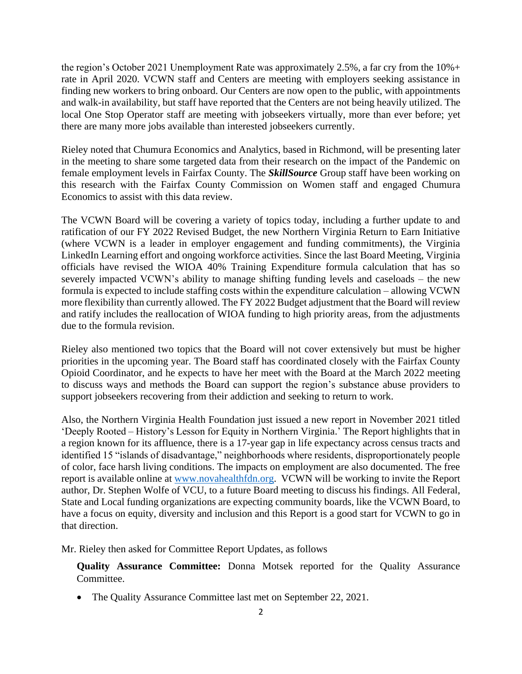the region's October 2021 Unemployment Rate was approximately 2.5%, a far cry from the 10%+ rate in April 2020. VCWN staff and Centers are meeting with employers seeking assistance in finding new workers to bring onboard. Our Centers are now open to the public, with appointments and walk-in availability, but staff have reported that the Centers are not being heavily utilized. The local One Stop Operator staff are meeting with jobseekers virtually, more than ever before; yet there are many more jobs available than interested jobseekers currently.

Rieley noted that Chumura Economics and Analytics, based in Richmond, will be presenting later in the meeting to share some targeted data from their research on the impact of the Pandemic on female employment levels in Fairfax County. The *SkillSource* Group staff have been working on this research with the Fairfax County Commission on Women staff and engaged Chumura Economics to assist with this data review.

The VCWN Board will be covering a variety of topics today, including a further update to and ratification of our FY 2022 Revised Budget, the new Northern Virginia Return to Earn Initiative (where VCWN is a leader in employer engagement and funding commitments), the Virginia LinkedIn Learning effort and ongoing workforce activities. Since the last Board Meeting, Virginia officials have revised the WIOA 40% Training Expenditure formula calculation that has so severely impacted VCWN's ability to manage shifting funding levels and caseloads – the new formula is expected to include staffing costs within the expenditure calculation – allowing VCWN more flexibility than currently allowed. The FY 2022 Budget adjustment that the Board will review and ratify includes the reallocation of WIOA funding to high priority areas, from the adjustments due to the formula revision.

Rieley also mentioned two topics that the Board will not cover extensively but must be higher priorities in the upcoming year. The Board staff has coordinated closely with the Fairfax County Opioid Coordinator, and he expects to have her meet with the Board at the March 2022 meeting to discuss ways and methods the Board can support the region's substance abuse providers to support jobseekers recovering from their addiction and seeking to return to work.

Also, the Northern Virginia Health Foundation just issued a new report in November 2021 titled 'Deeply Rooted – History's Lesson for Equity in Northern Virginia.' The Report highlights that in a region known for its affluence, there is a 17-year gap in life expectancy across census tracts and identified 15 "islands of disadvantage," neighborhoods where residents, disproportionately people of color, face harsh living conditions. The impacts on employment are also documented. The free report is available online at [www.novahealthfdn.org.](http://www.novahealthfdn.org/) VCWN will be working to invite the Report author, Dr. Stephen Wolfe of VCU, to a future Board meeting to discuss his findings. All Federal, State and Local funding organizations are expecting community boards, like the VCWN Board, to have a focus on equity, diversity and inclusion and this Report is a good start for VCWN to go in that direction.

Mr. Rieley then asked for Committee Report Updates, as follows

**Quality Assurance Committee:** Donna Motsek reported for the Quality Assurance Committee.

• The Quality Assurance Committee last met on September 22, 2021.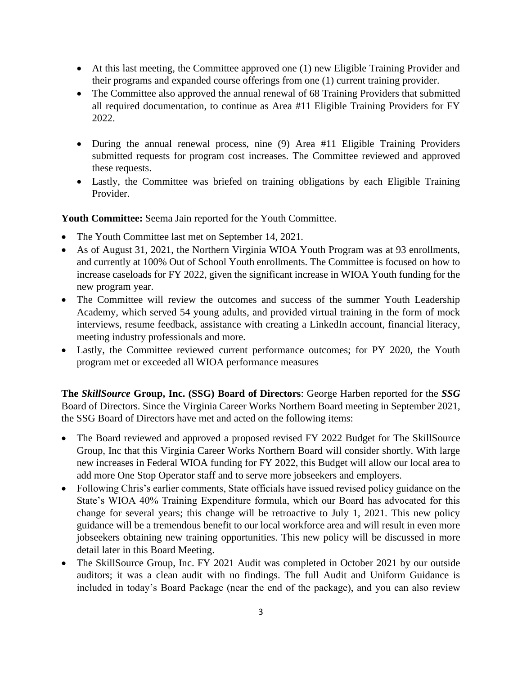- At this last meeting, the Committee approved one (1) new Eligible Training Provider and their programs and expanded course offerings from one (1) current training provider.
- The Committee also approved the annual renewal of 68 Training Providers that submitted all required documentation, to continue as Area #11 Eligible Training Providers for FY 2022.
- During the annual renewal process, nine (9) Area #11 Eligible Training Providers submitted requests for program cost increases. The Committee reviewed and approved these requests.
- Lastly, the Committee was briefed on training obligations by each Eligible Training Provider.

**Youth Committee:** Seema Jain reported for the Youth Committee.

- The Youth Committee last met on September 14, 2021.
- As of August 31, 2021, the Northern Virginia WIOA Youth Program was at 93 enrollments, and currently at 100% Out of School Youth enrollments. The Committee is focused on how to increase caseloads for FY 2022, given the significant increase in WIOA Youth funding for the new program year.
- The Committee will review the outcomes and success of the summer Youth Leadership Academy, which served 54 young adults, and provided virtual training in the form of mock interviews, resume feedback, assistance with creating a LinkedIn account, financial literacy, meeting industry professionals and more.
- Lastly, the Committee reviewed current performance outcomes; for PY 2020, the Youth program met or exceeded all WIOA performance measures

**The** *SkillSource* **Group, Inc. (SSG) Board of Directors**: George Harben reported for the *SSG*  Board of Directors. Since the Virginia Career Works Northern Board meeting in September 2021, the SSG Board of Directors have met and acted on the following items:

- The Board reviewed and approved a proposed revised FY 2022 Budget for The SkillSource Group, Inc that this Virginia Career Works Northern Board will consider shortly. With large new increases in Federal WIOA funding for FY 2022, this Budget will allow our local area to add more One Stop Operator staff and to serve more jobseekers and employers.
- Following Chris's earlier comments, State officials have issued revised policy guidance on the State's WIOA 40% Training Expenditure formula, which our Board has advocated for this change for several years; this change will be retroactive to July 1, 2021. This new policy guidance will be a tremendous benefit to our local workforce area and will result in even more jobseekers obtaining new training opportunities. This new policy will be discussed in more detail later in this Board Meeting.
- The SkillSource Group, Inc. FY 2021 Audit was completed in October 2021 by our outside auditors; it was a clean audit with no findings. The full Audit and Uniform Guidance is included in today's Board Package (near the end of the package), and you can also review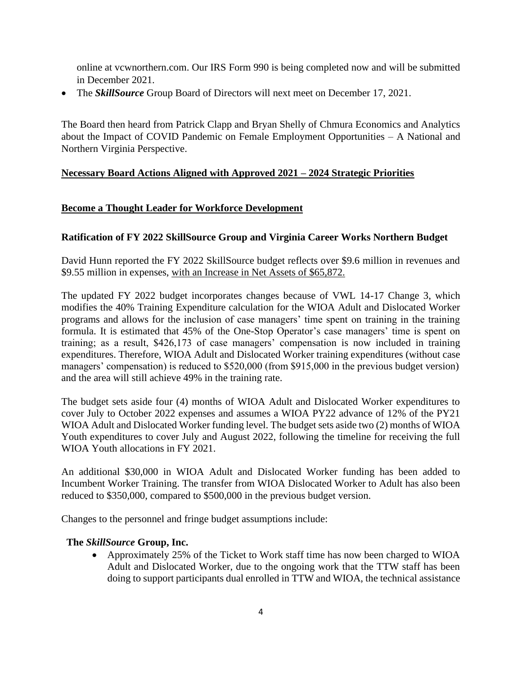online at vcwnorthern.com. Our IRS Form 990 is being completed now and will be submitted in December 2021.

• The *SkillSource* Group Board of Directors will next meet on December 17, 2021.

The Board then heard from Patrick Clapp and Bryan Shelly of Chmura Economics and Analytics about the Impact of COVID Pandemic on Female Employment Opportunities – A National and Northern Virginia Perspective.

# **Necessary Board Actions Aligned with Approved 2021 – 2024 Strategic Priorities**

# **Become a Thought Leader for Workforce Development**

### **Ratification of FY 2022 SkillSource Group and Virginia Career Works Northern Budget**

David Hunn reported the FY 2022 SkillSource budget reflects over \$9.6 million in revenues and \$9.55 million in expenses, with an Increase in Net Assets of \$65,872.

The updated FY 2022 budget incorporates changes because of VWL 14-17 Change 3, which modifies the 40% Training Expenditure calculation for the WIOA Adult and Dislocated Worker programs and allows for the inclusion of case managers' time spent on training in the training formula. It is estimated that 45% of the One-Stop Operator's case managers' time is spent on training; as a result, \$426,173 of case managers' compensation is now included in training expenditures. Therefore, WIOA Adult and Dislocated Worker training expenditures (without case managers' compensation) is reduced to \$520,000 (from \$915,000 in the previous budget version) and the area will still achieve 49% in the training rate.

The budget sets aside four (4) months of WIOA Adult and Dislocated Worker expenditures to cover July to October 2022 expenses and assumes a WIOA PY22 advance of 12% of the PY21 WIOA Adult and Dislocated Worker funding level. The budget sets aside two (2) months of WIOA Youth expenditures to cover July and August 2022, following the timeline for receiving the full WIOA Youth allocations in FY 2021.

An additional \$30,000 in WIOA Adult and Dislocated Worker funding has been added to Incumbent Worker Training. The transfer from WIOA Dislocated Worker to Adult has also been reduced to \$350,000, compared to \$500,000 in the previous budget version.

Changes to the personnel and fringe budget assumptions include:

### **The** *SkillSource* **Group, Inc.**

• Approximately 25% of the Ticket to Work staff time has now been charged to WIOA Adult and Dislocated Worker, due to the ongoing work that the TTW staff has been doing to support participants dual enrolled in TTW and WIOA, the technical assistance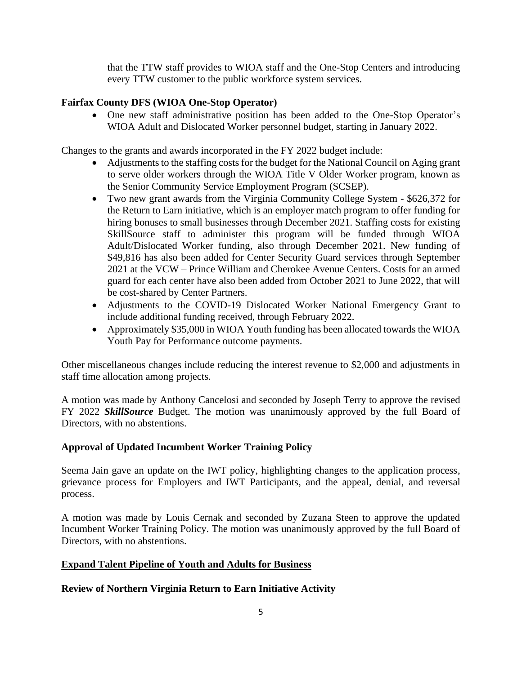that the TTW staff provides to WIOA staff and the One-Stop Centers and introducing every TTW customer to the public workforce system services.

## **Fairfax County DFS (WIOA One-Stop Operator)**

• One new staff administrative position has been added to the One-Stop Operator's WIOA Adult and Dislocated Worker personnel budget, starting in January 2022.

Changes to the grants and awards incorporated in the FY 2022 budget include:

- Adjustments to the staffing costs for the budget for the National Council on Aging grant to serve older workers through the WIOA Title V Older Worker program, known as the Senior Community Service Employment Program (SCSEP).
- Two new grant awards from the Virginia Community College System \$626,372 for the Return to Earn initiative, which is an employer match program to offer funding for hiring bonuses to small businesses through December 2021. Staffing costs for existing SkillSource staff to administer this program will be funded through WIOA Adult/Dislocated Worker funding, also through December 2021. New funding of \$49,816 has also been added for Center Security Guard services through September 2021 at the VCW – Prince William and Cherokee Avenue Centers. Costs for an armed guard for each center have also been added from October 2021 to June 2022, that will be cost-shared by Center Partners.
- Adjustments to the COVID-19 Dislocated Worker National Emergency Grant to include additional funding received, through February 2022.
- Approximately \$35,000 in WIOA Youth funding has been allocated towards the WIOA Youth Pay for Performance outcome payments.

Other miscellaneous changes include reducing the interest revenue to \$2,000 and adjustments in staff time allocation among projects.

A motion was made by Anthony Cancelosi and seconded by Joseph Terry to approve the revised FY 2022 *SkillSource* Budget. The motion was unanimously approved by the full Board of Directors, with no abstentions.

### **Approval of Updated Incumbent Worker Training Policy**

Seema Jain gave an update on the IWT policy, highlighting changes to the application process, grievance process for Employers and IWT Participants, and the appeal, denial, and reversal process.

A motion was made by Louis Cernak and seconded by Zuzana Steen to approve the updated Incumbent Worker Training Policy. The motion was unanimously approved by the full Board of Directors, with no abstentions.

### **Expand Talent Pipeline of Youth and Adults for Business**

### **Review of Northern Virginia Return to Earn Initiative Activity**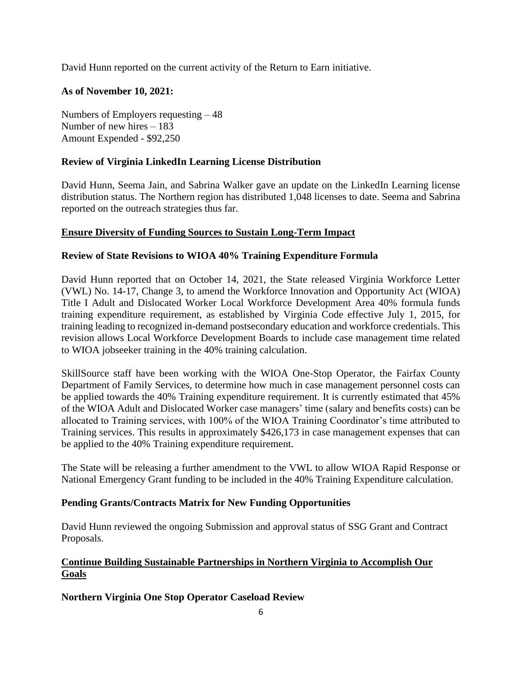David Hunn reported on the current activity of the Return to Earn initiative.

# **As of November 10, 2021:**

Numbers of Employers requesting – 48 Number of new hires – 183 Amount Expended - \$92,250

# **Review of Virginia LinkedIn Learning License Distribution**

David Hunn, Seema Jain, and Sabrina Walker gave an update on the LinkedIn Learning license distribution status. The Northern region has distributed 1,048 licenses to date. Seema and Sabrina reported on the outreach strategies thus far.

### **Ensure Diversity of Funding Sources to Sustain Long-Term Impact**

### **Review of State Revisions to WIOA 40% Training Expenditure Formula**

David Hunn reported that on October 14, 2021, the State released Virginia Workforce Letter (VWL) No. 14-17, Change 3, to amend the Workforce Innovation and Opportunity Act (WIOA) Title I Adult and Dislocated Worker Local Workforce Development Area 40% formula funds training expenditure requirement, as established by Virginia Code effective July 1, 2015, for training leading to recognized in-demand postsecondary education and workforce credentials. This revision allows Local Workforce Development Boards to include case management time related to WIOA jobseeker training in the 40% training calculation.

SkillSource staff have been working with the WIOA One-Stop Operator, the Fairfax County Department of Family Services, to determine how much in case management personnel costs can be applied towards the 40% Training expenditure requirement. It is currently estimated that 45% of the WIOA Adult and Dislocated Worker case managers' time (salary and benefits costs) can be allocated to Training services, with 100% of the WIOA Training Coordinator's time attributed to Training services. This results in approximately \$426,173 in case management expenses that can be applied to the 40% Training expenditure requirement.

The State will be releasing a further amendment to the VWL to allow WIOA Rapid Response or National Emergency Grant funding to be included in the 40% Training Expenditure calculation.

### **Pending Grants/Contracts Matrix for New Funding Opportunities**

David Hunn reviewed the ongoing Submission and approval status of SSG Grant and Contract Proposals.

# **Continue Building Sustainable Partnerships in Northern Virginia to Accomplish Our Goals**

**Northern Virginia One Stop Operator Caseload Review**